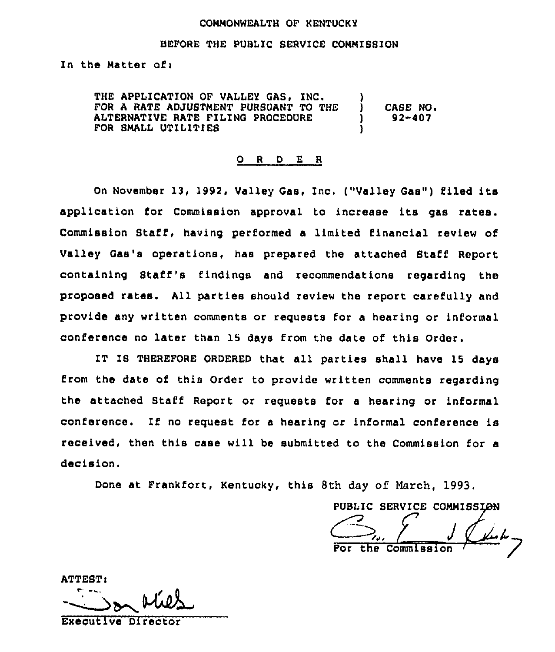#### COMMONWEALTH OF KENTUCKY

#### BEFORE THE PUBLIC SERVICE COMMISSION

In the Matter ofi

THE APPLICATION OF VALLEY GAS, INC. FOR A RATE ADJUSTMENT PURBUANT TO THE ALTERNATIVE RATE FILING PROCEDURE FOR SMALL UTILITIES ) ) CASE NO.  $92 - 407$ )

#### 0 <sup>R</sup> <sup>D</sup> E <sup>R</sup>

On November 13, 1992, Valley Gas, Inc. ("Valley Gas") filed its application for Commission approval to increase its gas rates. Commission Staff, having performed <sup>a</sup> limited financial review of Valley Gas's operations, has prepared the attached Staff Report containing Staff's findings and recommendations regarding the proposed rates. All parties should review the report carefully and provide any written comments or requests for a hearing or informal conference no later than 15 days from the date of this Order.

IT IB THEREFORE ORDERED that all parties shall have 15 days from the date of this Order to provide written comments regarding the attached Staff Report or requests for a hearing or informal conference. If no request for <sup>a</sup> hearing or informal conference is received, then this case will be submitted to the Commission for a decision.

Done at Frankfort, Kentucky, this 8th day of March, 1993.

PUBLIC SERVICE COMMISSION the Commission

**ATTEST:** 

Exeoutive Director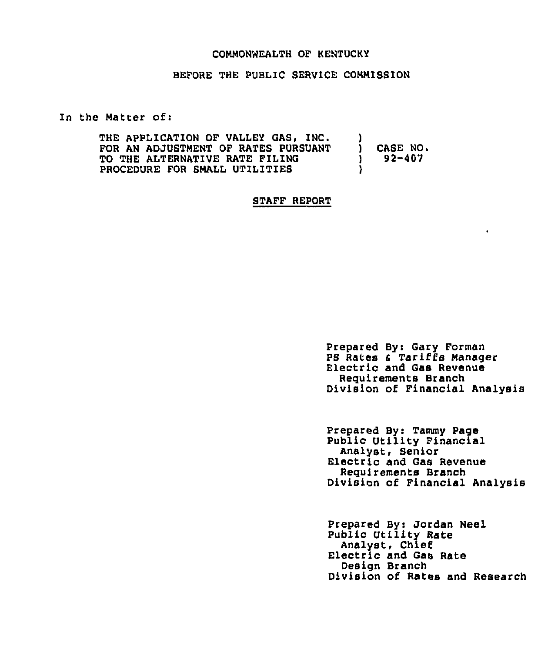### COMMONWEALTH OF KENTUCKY

BEFORE THE PUBLIC SERVICE COMMISSION

In the Matter ofi

| THE APPLICATION OF VALLEY GAS, INC.   |                 |
|---------------------------------------|-----------------|
| FOR AN ADJUSTMENT OF RATES PURSUANT   | <b>CASE NO.</b> |
| <b>TO THE ALTERNATIVE RATE FILING</b> | $92 - 407$      |
| PROCEDURE FOR SMALL UTILITIES         |                 |

## STAFF REPORT

Prepared By: Gary Forman PS Rates <sup>4</sup> Tariffs Manager Electric and Gas Revenue Requirements Branch Division of Financial Analysis

Prepared By: Tammy Page Public Utility Financial<br>Analyst, Senior Electric and Gas Revenue Reguirements Branch Division of Financial Analysis

Prepared By: Jordan Neel Public Utility Rate<br>Analyst, Chief Electric and Gas Rate Design Branch Division of Rates and Research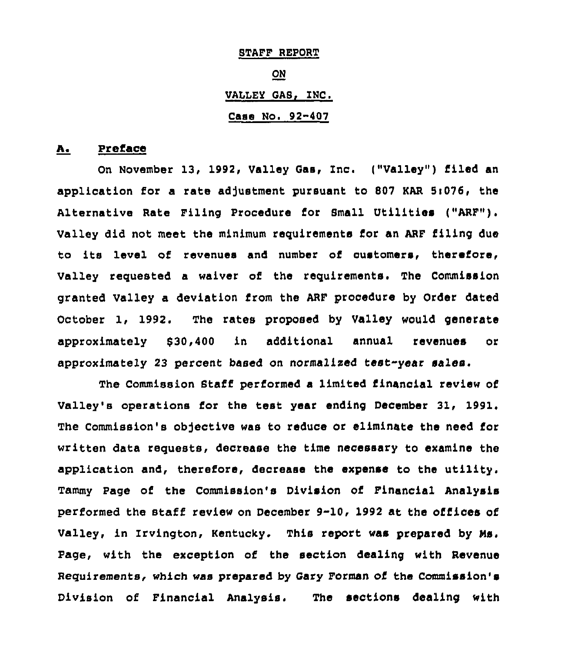STAFF REPORT ON VALLEY GAS, INC. Case No. 92-407

### A. Preface

On November 13, 1992, Valley Gas, Inc. ("Valley") filed an application for a rate adjustment pursuant to 807 KAR 5:076, the Alternative Rate Filing Procedure for Small Utilities ("ARF"). Valley did not meet the minimum requirements for an ARF filing due to its level of revenues and number of customers, therefore, Valley requested a waiver of the requirements. The Commission granted Valley a deviation from the ARF procedure by Order dated October 1, 1992. The rates proposed by Valley would generate approximately 030,400 in additional annual revenues or approximately 23 percent based on normalized test-year sales.

The Commission Staff performed a limited financial review of Valley's operations for the test year ending December 31, 1991. The Commission's objective was to reduce or eliminate the need for written data requests, decrease the time necessary to examine the application and, therefore, decrease the expense to the utility. Tammy page of the Commission's Division of Financial Analysis performed the staff review on December 9-10, 1992 at the ofiices of Valley, in Zrvington, Kentucky. This report was prepared by Ns. Page, with the exception of the section dealing with Revenue Requirements, which was prepared by Gary Formsn of the Commission's Division of Financial Analysis. The sections dealing with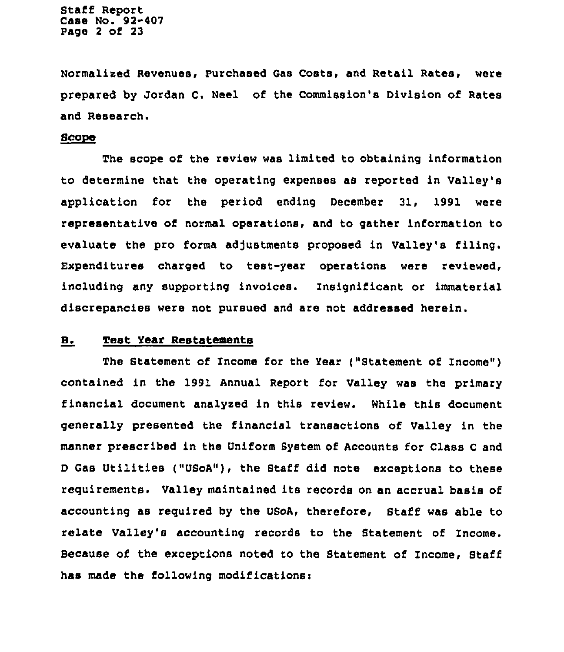Staff Report Case No. 92-407 Page <sup>2</sup> of 23

Normalized Revenues, purchased Gas Costs, and Retail Rates, were prepared by Jordan C. Weel of the Commission's Division of Rates and Research.

#### Scope

The scope of the review was limited to obtaining information to determine that the operating expenses as reported in Valley's application for the period ending December 31, 1991 were representative of normal operations, and to gather information to evaluate the pro forma adjustments proposed in Valley's filing. Expenditures charged to test-year operations were reviewed, including any supporting invoices. Insignificant or immaterial discrepancies were not pursued and are not addressed herein.

### B. Test Year Restatements

The Statement of Income for the Year ("Statement of Income" ) contained in the 1991 Annual Report for Valley was the primary financial document analyzed in this review. While this document generally presented the financial transactions of Valley in the manner prescribed in the Uniform System of Accounts for Class <sup>C</sup> and D Gas Utilities ("USoA"), the Staff did note exceptions to these requirements. Valley maintained its records on an accrual basis of accounting as required by the USoA, therefore, Staff was able to relate Valley's accounting records to the Statement of Income. Because of the exceptions noted to the Statement of Income, Staff has made the following modificationsi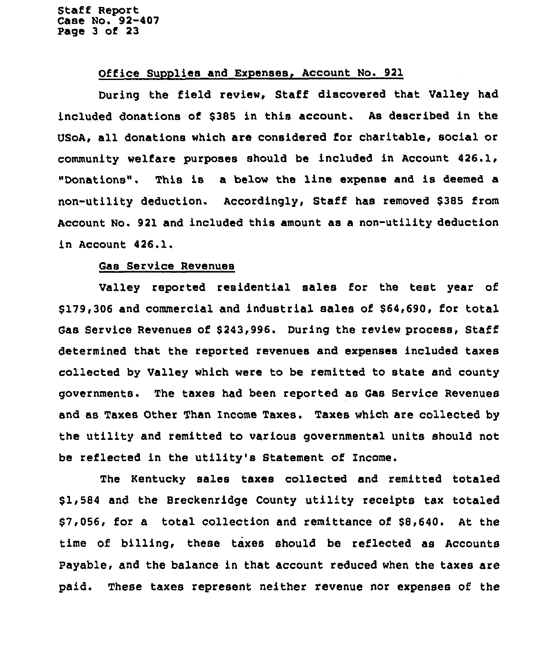Staff Report Case No. 92-407 Page 3 of 23

### Office Supplies and Expenses, Account No. 921

During the field review, Staff discovered that Valley had included donations of \$385 in this account. As described in the USoA, all donations which are considered for charitable, social or community welfare purposes should be included in Account 426.1, "Donations". This is a below the line expense and is deemed a non-utility deduction. Accordingly, Staff has removed \$385 from Account No. 921 and included this amount as a non-utility deduction in Account 426.1.

### Gas Service Revenues

Valley reported residential sales for the test year of \$ 179,306 and commercial and industrial sales of \$64,690, for total Gas Service Revenues of \$243,996. During the review process, Staff determined that the reported revenues and expenses included taxes collected by Valley which were to be remitted to state and county governments. The taxes had been reported as Gas Service Revenues and as Taxes Other Than Income Taxes. Taxes which are collected by the utility and remitted to various governmental units should not be reflected in the utility's Statement of Income.

The Kentucky sales taxes collected and remitted totaled \$1,584 and the Breckenridge County utility receipts tax totaled \$7,056, for a total collection and remittance of \$8,640. At the time of billing, these taxes should be reflected as Accounts Payable, and the balance in that account reduced when the taxes are paid. These taxes represent neither revenue nor expenses of the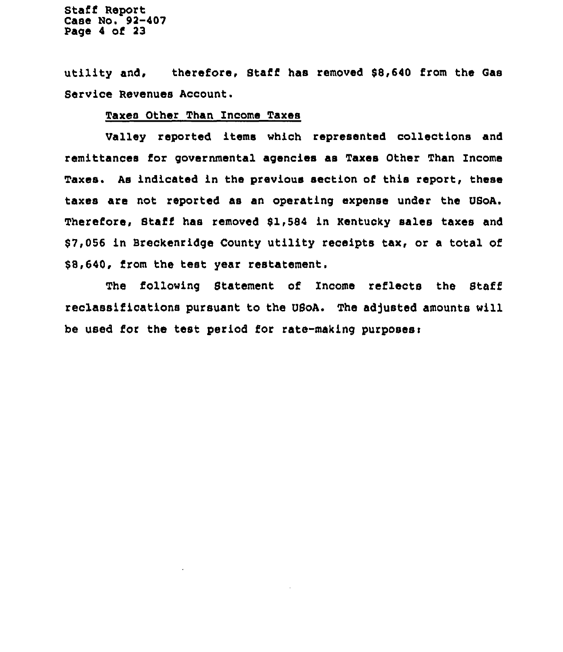Staff Report Case No. 92-407 Page 4 of 23

utility and, therefore, Staff has removed 88,640 from the Gas Service Revenues Account.

# Taxes Other Than Income Taxes

Valley reported items which represented collections and remittances for governmental agencies as Taxes Other Than Income Taxes. As indicated in the previous section of this report, these taxes are not reported as an operating expense under the USoA. Therefore, Staff has removed 81,584 in Kentucky sales taxes and 87,056 in Breckenridge County utility receipts tax, or a total of \$8,640, from the test year restatement.

The following Statement of Income reflects the Staff reclassifications pursuant to the USoA. The adjusted amounts will be used for the test period for rate-making purposesi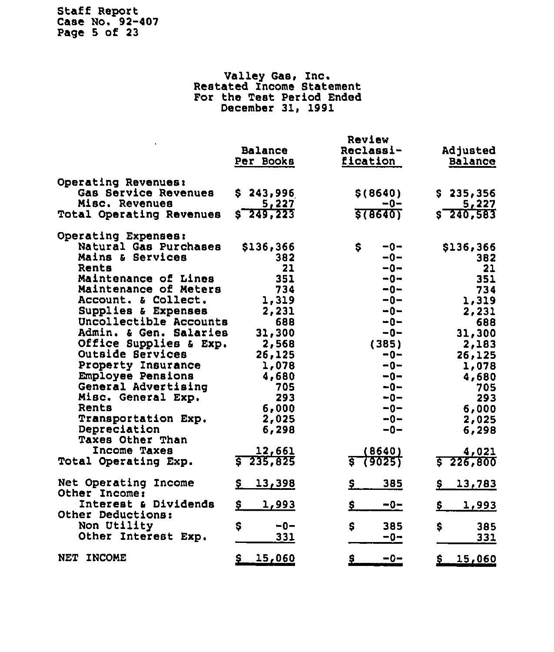# Staff Report Case No. 92-407 Page 5 of 23

# Valley Gas, Inc. Restated Income Statemen For the Test Period Ended December 31, 1991

|                                           | <b>Balance</b><br>Per Books | Review<br>Reclassi-<br>fication | Adjusted<br><b>Balance</b> |
|-------------------------------------------|-----------------------------|---------------------------------|----------------------------|
| Operating Revenues:                       |                             |                                 |                            |
| Gas Service Revenues                      | \$243,996                   | \$(8640)                        | \$235,356                  |
| Misc. Revenues                            | 5,227                       | -0−                             | 5,227                      |
| <b>Total Operating Revenues</b>           | $s - 249, 223$              | <b>STB640T</b>                  | $s - 240.583$              |
| Operating Expenses:                       |                             |                                 |                            |
| Natural Gas Purchases                     | \$136,366                   | \$<br>$-0-$                     | \$136,366                  |
| Mains & Services                          | 382                         | $-0-$                           | 382                        |
| Rents                                     | 21                          | $-0-$                           | 21                         |
| Maintenance of Lines                      | 351                         | $-0-$                           | 351                        |
| Maintenance of Meters                     | 734                         | $-0-$                           | 734                        |
| Account. & Collect.                       | 1,319                       | $-0-$                           | 1,319                      |
| Supplies & Expenses                       | 2,231                       | $-0-$                           | 2,231                      |
| Uncollectible Accounts                    | 688                         | $-0-$                           | 688                        |
| Admin. & Gen. Salaries                    | 31,300                      | $-0-$                           | 31,300                     |
| Office Supplies & Exp.                    | 2,568                       | (385)                           | 2,183                      |
| Outside Services                          | 26,125                      | $-0-$                           | 26,125                     |
| Property Insurance                        | 1,078                       | $-0-$                           | 1,078                      |
| Employee Pensions                         | 4,680                       | $-0-$                           | 4,680                      |
| General Advertising                       | 705                         | $-0-$                           | 705                        |
| Misc. General Exp.                        | 293                         | $-0-$                           | 293                        |
| Rents                                     | 6,000                       | $-0-$                           | 6,000                      |
| Transportation Exp.                       | 2,025                       | $-0-$                           | 2,025                      |
| Depreciation                              | 6,298                       | $-0-$                           | 6,298                      |
| <b>Taxes Other Than</b>                   |                             |                                 |                            |
| Income Taxes                              | 12,661                      | (8640)                          | 4,021                      |
| Total Operating Exp.                      | $5 - 235, 825$              | (9025)                          | 5226,800                   |
| Net Operating<br>Income                   | 13,398<br>\$                | 385<br><u>Ş</u>                 | 13,783<br>Ş.               |
| Other Income:                             |                             |                                 |                            |
| Interest & Dividends<br>Other Deductions: | \$_<br>1,993                | <u>\$</u><br>$-0-$              | <u>1,993</u><br><u>\$</u>  |
| Non Utility                               | \$<br>$-0-$                 | \$<br>385                       | \$<br>385                  |
| Other Interest Exp.                       | 331                         | $-0-$                           | 331                        |
|                                           |                             |                                 |                            |
| NET INCOME                                | <u>\$</u><br><u>15,060</u>  | <u>\$</u><br>$-0-$              | \$<br>15,060               |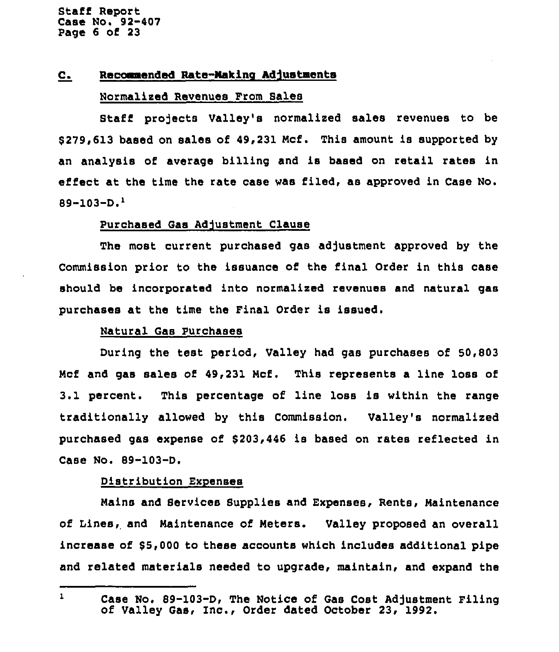## C. Recommended Rate-Making Adjustments

### Normalized Revenues From Sales

Staff projects Valley's normalized sales revenues to be 8279,613 based on sales of 49,231 Ncf. This amount is supported by an analysis of average billing and is based on retail rates in effect at the time the rate case was filed, as approved in Case No.  $89-103-D.<sup>1</sup>$ 

### Purchased Gas Adjustment Clause

The most current purchased gas adjustment approved by the Commission prior to the issuance of the final Order in this case should be incorporated into normalized revenues and natural gas purchases at the time the Final Order is issued.

### Natural Gas Purchases

During the test period, Valley had gas purchases of 50,803 Mcf and gas sales of 49,231 Ncf. This represents a line loss of 3.1 percent. This percentage of line loss is within the range traditionally allowed by this Commission. Valley's normalized purchased gas expense of \$ 203,446 is based on rates reflected in Case No. 89-103-D.

#### Distribution Exnenses

Mains and Services Supplies and Expenses, Rents, Naintenance of Lines, and Maintenance of Neters. Valley proposed an overall increase of 85,000 to these accounts which includes additional pipe and related materials needed to upgrade, maintain, and expand the

 $\mathbf{1}$ Case No. 89-103-D, The Notice of Gas Cost Adjustment Filing<br>of Valley Gas, Inc., Order dated October 23, 1992.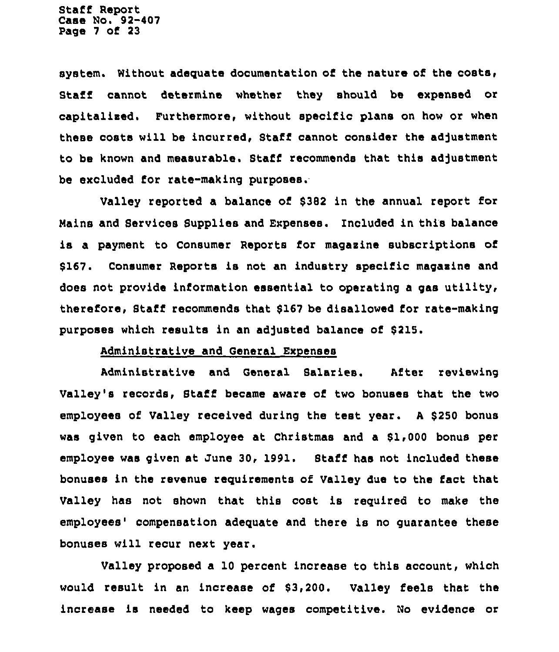Staff Report Case No. 92-407 Page 7 of 23

system. Without adequate documentation of the nature of the costa, Staff cannot determine whether they should be expensed or capitaliaed. Furthermore, without specific plans on how or when these costs will be incurred, Staff cannot consider the adjustment to be known and measurable. Staff recommends that this adjustment be excluded for rate-making purposes.

Valley reported a balance of \$382 in the annual report for Mains and Services Supplies and Expenses. Included in this balance is a payment to Consumer Reports for magasine subscriptions of \$167. Consumer Reports is not an industry specific magasine and does not provide information essential to operating a gas utility, therefore, Staff recommends that \$167 be disallowed for tate-making purposes which results in an adjusted balance of \$215.

## Administrative and General Expenses

Administrative and General Salaries. After reviewing Valley's records, Staff became aware of two bonuses that the two employees of Valley received during the test year. A \$250 bonus was given to each employee at Christmas and a \$1,000 bonus per employee was given at June 30, 1991. Staff has not included these bonuses in the revenue requirements of Valley due to the fact that Valley has not shown that this cost is required to make the employees' compensation adequate and there is no guarantee these bonuses will recur next year.

Valley proposed a 10 percent increase to this account, which would result in an increase of \$3,200. Valley feels that the increase is needed to keep wages competitive. 'No evidence or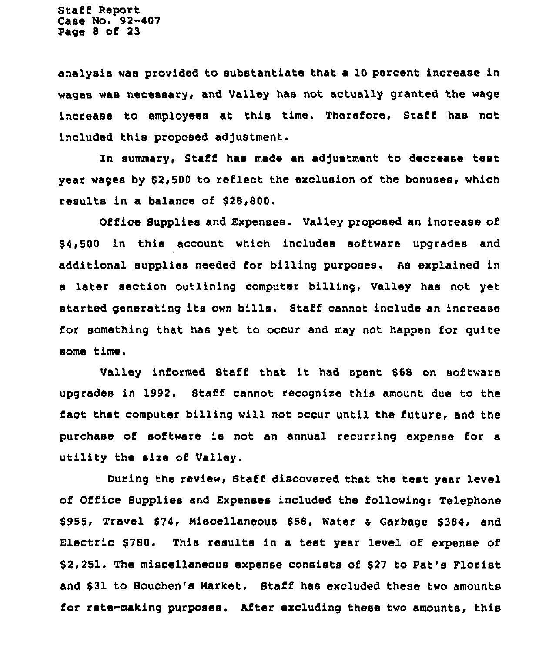Staff Report Case No. 92-407 Page 8 of 23

analysis was provided to substantiate that a 10 percent increase in wages was necessary, and Valley has not actually granted the wage increase to employees at this time. Therefore, Staff has not included this proposed adjustment.

In summary, Staff has made an adjustment to decrease test year wages by \$2,500 to reflect the exclusion of the bonuses, which results in a balance of \$28,800.

Office Supplies and Expenses. Valley proposed an increase of \$ 4,500 in this account which includes software upgrades and additional supplies needed for billing purposes. As explained in a later section outlining computer billing, Valley has not yet started generating its own bills. Staff cannot include an increase for something that has yet to occur and may not happen for quite some time.

Valley informed Staff that it had spent \$<sup>68</sup> on software upgrades in 1992. Staff cannot recognize this amount due to the fact that computer billing will not occur until the future, and the purchase of software is not an annual recurring expense for a utility the size of Valley.

During the review, Staff discovered that the test year level of Office Supplies and Expenses included the following: Telephone \$955, Travel \$74, Miscellaneous \$58, Water & Garbage \$384, and Electric \$780. This results in a test year level of expense of \$ 2,251. The miscellaneous expense consists of \$<sup>27</sup> to Pat's Plorist and \$31 to Houchen's Warket. Staff has excluded these two amounts for rate-making purposes. After excluding these two amounts, this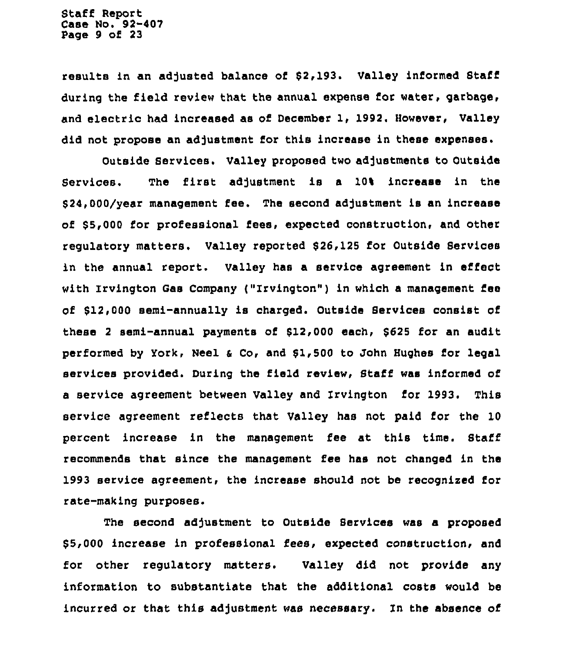results in an adjusted balance of \$2,193. Valley informed Staff during the field review that the annual expense for water, garbage, and electric had increased as of December 1, 1992. However, Valley did not propose an adjustment for this increase in these expenses.

Outside Services. Valley proposed two adjustments to Outside Services. The first adjustment is a 10% increase in the 524,000/year management fee. The second adjustment is an increase of \$5,000 for professional fees, expected construction, and other regulatory matters. Valley reported \$26,125 for Outside Services in the annual report. Valley has a service agreement in effect with Irvington Gas Company ("Irvington") in which a management fee of \$12,000 semi-annually is charged. Outside Services consist of these <sup>2</sup> semi-annual payments of 912,000 each, 6625 for an audit performed by York, Neel a Co, and 51,500 to John Hughes for legal services provided. During the field review, Staff was informed of a service agreement between Valley and Zrvington for 1993. This service agreement reflects that Valley has not paid for the 10 percent increase in the management fee at this time. Staff recommends that since the management fee has not changed in the 1993 service agreement, the increase should not be recognized lor rate-making purposes.

The second adjustment to Outside Services was a proposed \$5,000 increase in professional fees, expected construction, and for other regulatory matters. Valley did not provide any information to substantiate that the additional costs would be incurred or that this adjustment was necessary. In the absence of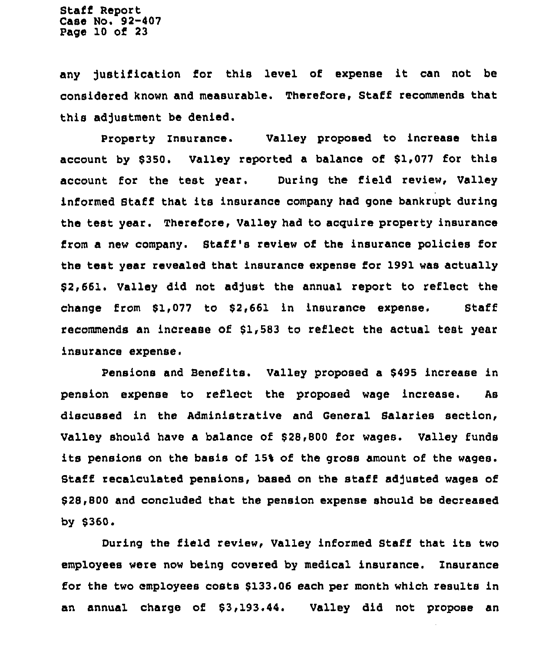any Justification for this level of expense it can not be considered known and measurable. Therefore, Staff recommends that this adjustment be denied.

Property Insurance. Valley proposed to increase this account by \$350. Valley reported a balance of \$1,077 for this account for the test year. During the field review, Valley informed Staff that its insurance company had gone bankrupt during the test year. Therefore, Valley had to acquire property insurance from a new company. Staff's review of the insurance policies for the test year revealed that insurance expense for 1991 was actually \$2,661. Valley did not adjust the annual report to reflect the change from \$1,077 to \$2,661 in insurance expense, Staff recommends an increase of \$1,583 to reflect the actual test year insurance expense.

Pensions and Benefits. Valley proposed a \$495 increase in pension expense to reflect the proposed wage increase. As discussed in the Administrative and General Salaries section, Valley should have a balance of \$28,800 for wages. Valley funds its pensions on the basis of 15% of the gross amount of the wages. Staff recalculated pensions, based on the staff adjusted wages of \$28,800 and concluded that the pension expense should be decreased bY \$360.

During the field review, Valley informed Staff that its two employees were now being covered by medical insurance. Insurance for the two employees costs \$133.06 each per month which results in an annual charge of \$3,193.44. Valley did not propose an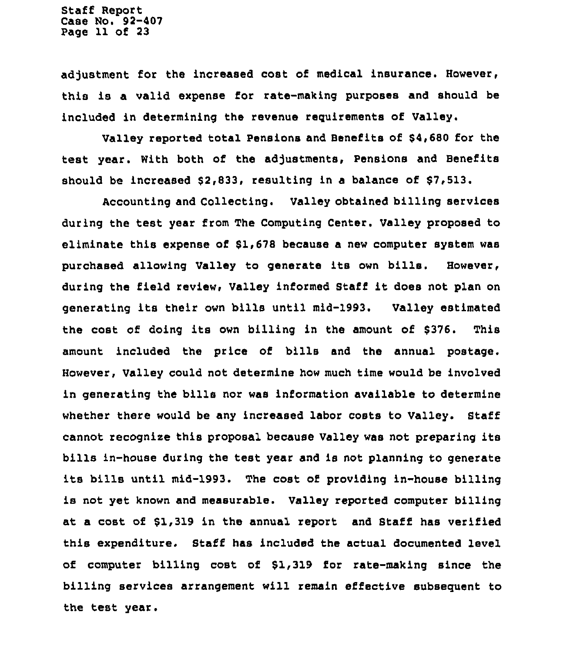adjustment for the increased cost of medical insurance. However, this is a valid expense for tate-making purposes and should be included in determining the revenue requirements of Valley.

Valley reported total Pensions and Benefits of \$4,680 for the test year. With both of the adjustments, Pensions and Benefits should be increased \$2,833, resulting in a balance of \$7,513.

Accounting and Collecting. Valley obtained billing services during the test year from The Computing Canter. Valley proposed to eliminate this expense of \$1,678 because a new computer system was purchased allowing Valley to generate its own bills. However, during the field review, Valley informed Staff it does not plan on generating its their own bills until mid-1993, Valley estimated the cost of doing its own billing in the amount of \$376. This amount included the price of bills and the annual postage. However, Valley could not, determine how much time would be involved in generating the bills nor was information available to determine whether there would be any increased labor costs to Valley. Staff cannot recognize this proposal because Valley was not preparing its bills in-house during the test year and is not planning to generate its bills until mid-1993. The cost of providing in-house billing is not yet known and measurable. Valley reported computer billing at a cost of \$1,319 in the annual report and Staff has verified this expenditure. Staff has included the actual documented level of computer billing cost of \$1,319 for rate-making since the billing services arrangement will remain effective subsequent to the test year.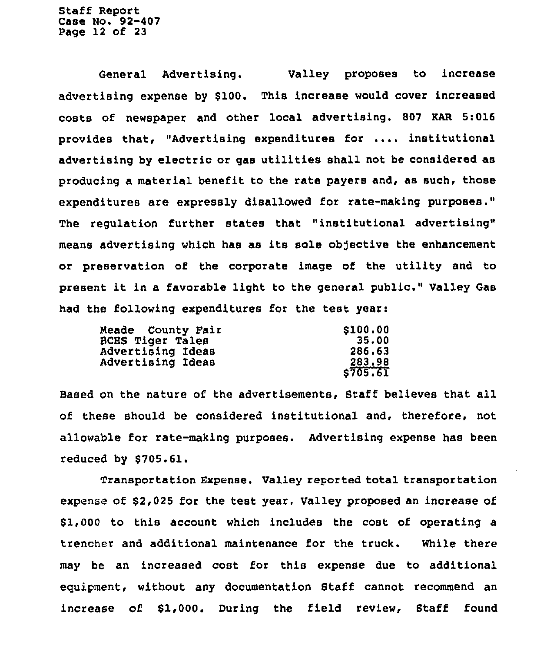Staff Report Case No. 92-407 Page 12 of 23

General Advertising. Valley proposes to increase advertising expense by \$100. This increase would cover increased costs of newspaper and other local advertising. 807 KAR 5:016 provides that, "Advertising expenditures for ....institutional advertising by electric or gas utilities shall not be considered as producing a material benefit to the rate payers and, as such, those expenditures are expressly disallowed for rate-making purposes." The regulation further states that "institutional advertising" means advertising which has as its sole objective the enhancement or preservation of the corporate image of the utility and to present it in <sup>a</sup> favorable light to the general public," Valley Gas had the following expenditures for the test yeari

| Meade County Fair | \$100.00 |
|-------------------|----------|
| BCHS Tiger Tales  | 35.00    |
| Advertising Ideas | 286.63   |
| Advertising Ideas | 283.98   |
|                   | \$705.61 |

Based on the nature of the advertisements, Staff believes that all of these should be considered institutional and, therefore, not allowable for rate-making purposes. Advertising expense has been reduced by \$705.61.

Transportation Expense. Valley reported total transportation expense of \$2,025 for the test year. Valley proposed an increase of \$1,000 to this account which includes the cost of operating a trencher and additional maintenance for the truck. While there may be an increased cost for this expense due to additional eguipment, without any documentation Staff cannot recommend an increase of \$1,000. During the field review, Staff found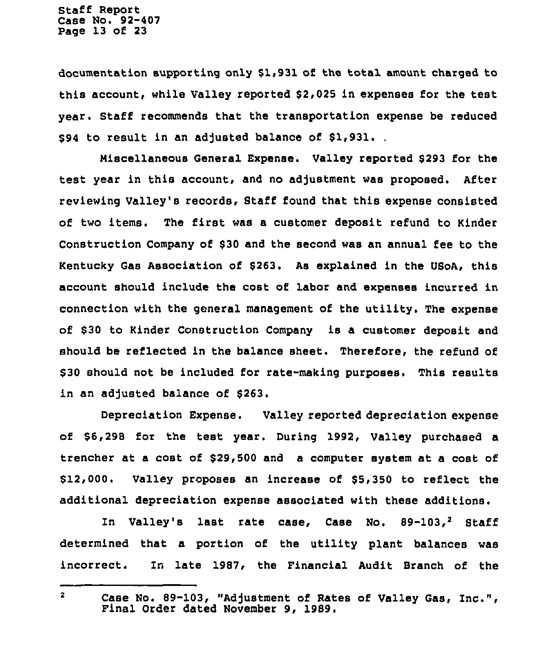Staff Report Case No. 92-407 Page 13 of 23

documentation supporting only \$1,931 of the total amount charged to this account, while Valley reported \$2,025 in expenses for the test year. Staff recommends that the transportation expense be reduced s94 to result in an adjusted balance of \$1,931.

Niscellaneous General Expense. Valley reported \$ 293 for the test year in this account, and no adjustment was proposed. After reviewing Valley's records, Staff found that this expense consisted of two items. The first was a customer deposit refund to Kinder Construction Company of \$30 and the second was an annual fee to the Kentucky Gas Association of \$263. As explained in the USoA, this account should include the cost of labor and expenses incurred in connection with the general management of the utility. The expense of \$30 to Kinder Construction Company is a customer deposit and should be reflected in the balance sheet. Therefore, the refund of \$ 30 should not be included for rate-making purposes. This results in an adjusted balance of \$263.

Depreciation Expense. Valley reported depreciation expense of \$6,298 for the test year. During 1992, Valley purchased a trencher at a cost of \$29,500 and a computer system at a cost of \$12,000. Valley proposes an increase of \$5,350 to reflect the additional depreciation expense associated with these additions.

In Valley's last rate case, Case No.  $89-103,^2$  Staff determined that a portion of the utility plant balances was incorrect. Zn late 1987, the Financial Audit Branch of the

 $\overline{2}$ Case No. 89-103, "Adjustment of Rates of Valley Gas, Inc.", Final Order dated November 9, 1989.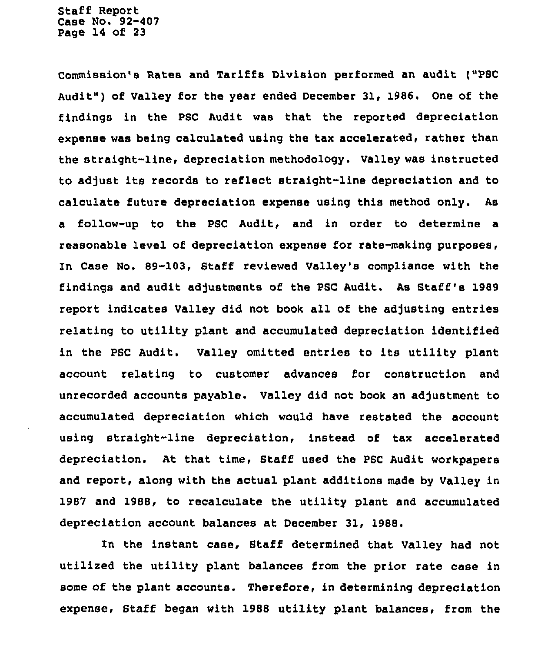Staff Report Case No. 92-407 Page 14 of 23

Commission's Rates and Tariffs Division performed an audit ("PSC Audit" ) of Valley for the year ended December 31, 1986. One of the findings in the PSC Audit was that the reported depreciation expense was being calculated using the tax accelerated, rather than the straight-line, depreciation methodology. Valley was instructed to adjust its records to reflect straight-line depreciation and to calculate future depreciation expense using this method only. As a follow-up to the PSC Audit, and in order to determine a reasonable level of depreciation expense for rate-making purposes, In Case No. 89-103, Staff reviewed Valley's compliance with the findings and audit adjustments of the PSC Audit. As Staff's 1989 report indicates Valley did not book all of the adjusting entries relating to utility plant and accumulated depreciation identified in the PSC Audit. Valley omitted entries to its utility plant account relating to customer advances for construction and unrecorded accounts payable. Valley did not book an adjustment to accumulated depreciation which would have restated the account using straight-line depreciation, instead of tax accelerated depreciation. At that time, Staff used the PSC Audit workpapers and report, along with the actual plant additions made by Valley in 1987 and 1988, to recalculate the utility plant and accumulated depreciation account balances at December 31, 1988.

In the instant case, Staff determined that Valley had not utilized the utility plant balances from the prior rate case in some of the plant accounts. Therefore, in determining depreciation expense, Staff began with 1988 utility plant balances, from the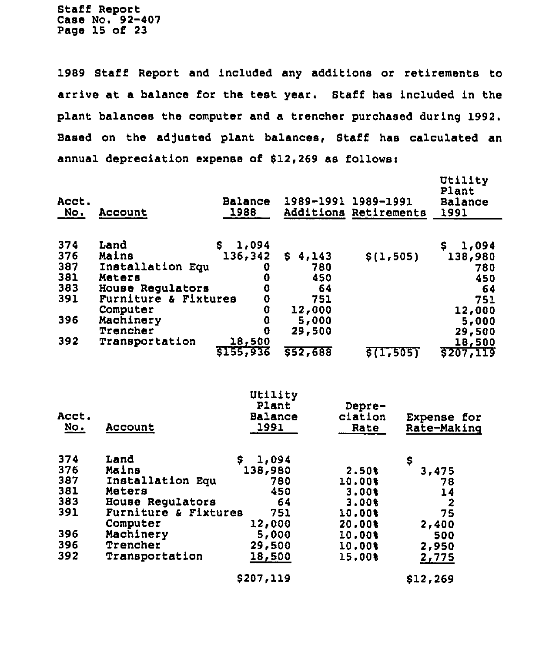Staff Report Case No. 92-407 Page 15 of 23

1989 Staff Report and included any additions or retirements to arrive at a balance for the test year. Staff has included in the plant balances the computer and a trencher purchased during 1992, Based on the adjusted plant balances, Staff has calculated an annual depreciation expense of  $$12,269$  as follows:

| Acct.<br>No.      | Account                           | <b>Balance</b><br>1988      | 1989-1991          | 1989-1991<br>Additions Retirements | Utility<br>Plant<br><b>Balance</b><br>1991 |
|-------------------|-----------------------------------|-----------------------------|--------------------|------------------------------------|--------------------------------------------|
|                   |                                   |                             |                    |                                    |                                            |
| 374<br>376<br>387 | Land<br>Mains<br>Installation Equ | 1,094<br>S.<br>136,342<br>0 | S.<br>4,143<br>780 | \$(1, 505)                         | 1,094<br>\$.<br>138,980<br>780             |
| 381               | Meters                            | 0                           | 450                |                                    | 450                                        |
| 383               | House Regulators                  | 0                           | 64                 |                                    | 64                                         |
| 391               | Furniture & Fixtures              | O                           | 751                |                                    | 751                                        |
|                   | Computer                          | O                           | 12,000             |                                    | 12,000                                     |
| 396               | Machinery                         | 0                           | 5,000              |                                    | 5,000                                      |
|                   | Trencher                          | 0                           | 29,500             |                                    | 29,500                                     |
| 392               | Transportation                    | 18,500<br>5155,936          | 552,688            | <b>\$(1,505)</b>                   | 18,500<br>5207,119                         |
|                   |                                   |                             |                    |                                    |                                            |
|                   |                                   | Utility                     |                    |                                    |                                            |
| Acct.             |                                   | Plant                       |                    | Depre-                             |                                            |
| NO <sub>o</sub>   | Account                           | Balance<br>1991             |                    | ciation<br>Rate                    | Expense for<br>Rate-Making                 |
|                   |                                   |                             |                    |                                    |                                            |
| 374               | Land                              | S.<br>1,094                 |                    |                                    | \$                                         |
| 376               | Mains                             | 138,980                     |                    | 2.50%                              | 3,475                                      |
| 387               | Installation Equ                  |                             | 780                | 10.00%                             | 78                                         |
| <b>381</b>        | <b>Matara</b>                     |                             | 450                | 2 nns                              | 1 A                                        |

| JO / | THRCGTTGCTON EQU     | 70 U   | TA PART  | 78    |
|------|----------------------|--------|----------|-------|
| 381  | Meters               | 450    | 3.00%    | 14    |
| 383  | House Regulators     | 64     | $3.00$ % | -2    |
| 391  | Furniture & Fixtures | 751    | 10.00%   | 75    |
|      | Computer             | 12,000 | 20,00%   | 2,400 |
| 396  | Machinery            | 5,000  | 10,00%   | 500   |
| 396  | Trencher             | 29,500 | 10.00%   | 2,950 |
| 392  | Transportation       | 18,500 | 15.00%   | 2,775 |
|      |                      |        |          |       |

 $$207,119$ 

\$12,269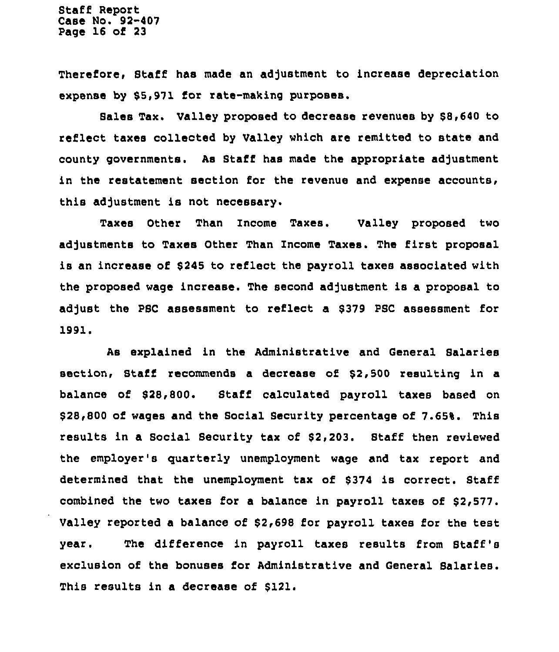Staff Report Case No. 92-407 Page 16 of 23

Therefore, Staff has made an adjustment to increase depreciation expense by \$5,971 for rate-making purposes.

Sales Tax. Valley proposed to decrease revenues by \$8,640 to reflect taxes collected by Valley which are remitted to state and county governments. As Staff has made the appropriate adjustment in the restatement section for the revenue and expense accounts, this adjustment is not necessary.

Taxes Other Than Income Taxes. Valley proposed two adjustments to Taxes Other Than Income Taxes. The first proposal is an increase of \$245 to reflect the payroll taxes associated with the proposed wage increase. The second adjustment is a proposal to adjust the PSC assessment to reflect a \$379 PSC assessment for 1991.

As explained in the Administrative and General Salaries section, Staff recommends a decrease of \$2,500 resulting in a balance of \$28,800. Staff calculated payroll taxes based on \$ 28,800 of wages and the Social Security percentage of 7.65%. This results in a Social Security tax of \$2,203. Staff then reviewed the employer's quarterly unemployment wage and tax report and determined that the unemployment tax of \$374 is correct. Staff combined the two taxes for a balance in payroll taxes of \$2,577. Valley reported a balance of \$2,698 for payroll taxes for the test year. The difference in payroll taxes results from Staff 's exclusion of the bonuses for Administrative and General Salaries. This results in a decrease of \$121.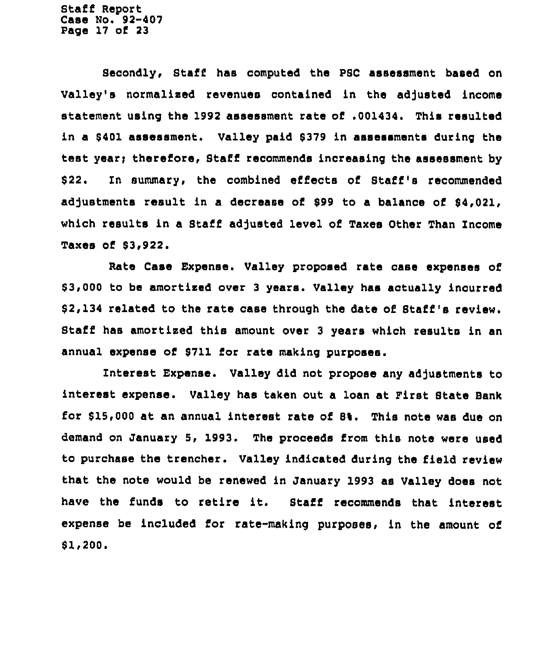Staff Report Case No. 92-407 Page 17 of 23

Secondly, Staff has computed the PSC assessment based on Valley's normalized revenues contained in the adjusted income statement using the 1992 assessment rate of .001434. This resulted in a \$401 assessment. Valley paid \$379 in assessments during the test year; therefore, Staff recommends increasing the assessment by \$22. In summary, the combined effects of Staff's recommended adjustments result in a decrease of \$99 to a balance of \$4,021, which results in a Staff adjusted level of Taxes Other Than Income Taxes of \$3,922

Rate Case Expense. Valley proposed rate case expenses of \$ 3,000 to be amortised over 3 years. Valley has actually incurred \$ 2,134 related to the rate case through the date of Staff's review. Staff has amortised this amount over <sup>3</sup> years which results in an annual expense of \$711 for rate making purposes.

Interest Expense. Valley did not propose any adjustments to interest expense. Valley has taken out a loan at First State Bank for \$ 15,000 at an annual interest rate of 8%. This note was due on demand on January 5, 1993. The proceeds from this note were used to purchase the trencher. Valley indicated during the field review that the note would be renewed in January 1993 as Valley does not have the funds to retire it. Staff recommends that interest expense be included for rate-making purposes, in the amount of  $$1,200.$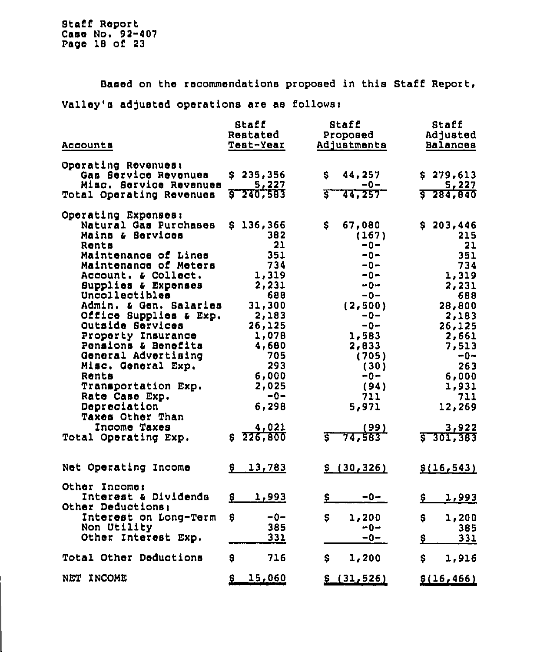Based on the recommendations proposed in this Staff Report,

Valley's adjusted operations are as follows:

|                          | Staff              | Staff                    | Staff                         |
|--------------------------|--------------------|--------------------------|-------------------------------|
|                          | Restated           | Proposed                 | Adjusted                      |
| Accounts                 | Test-Year          | Adjustments              | Balances                      |
|                          |                    |                          |                               |
| Operating Revenues:      |                    |                          |                               |
| Gas Service Revenues     | \$235,356          | 44,257<br>Ş.             | \$279,613                     |
| Misc. Service Revenues   | 5,227              | $-0-$                    | 5,227                         |
| Total Operating Revenues | 240,583<br>ह       | इ<br>44,257 <sup>-</sup> | 5.284, 840                    |
|                          |                    |                          |                               |
| Operating Expenses:      |                    |                          |                               |
| Natural Gas Purchases    | \$136,366          | \$<br>67,080             | \$203,446                     |
| Mains & Services         | 382                | (167)                    | 215                           |
| Rents                    | 21                 | $-0-$                    | 21                            |
| Maintenance of Lines     | 351                | $-0-$                    | 351                           |
| Maintenance of Meters    | 734                | $-0-$                    | 734                           |
| Account. & Collect.      | 1,319              | $-0-$                    | 1,319                         |
| Supplies & Expenses      | 2,231              | -0−                      | 2,231                         |
| Uncollectibles           | 688                | $-0-$                    | 688                           |
| Admin. & Gen. Salaries   | 31,300             | (2,500)                  | 28,800                        |
| Office Supplies & Exp.   | 2,183              | $-0-$                    | 2,183                         |
| Outside Services         | 26,125             | $-0-$                    | 26,125                        |
| Property Insurance       | 1,078              | 1,583                    | 2,661                         |
| Pensions & Benefits      | 4,680              | 2,833                    | 7,513                         |
| General Advertising      | 705                | (705)                    | -0∼                           |
| Misc. General Exp.       | 293                | (30)                     | 263                           |
| Rents                    | 6,000              | -0-                      | 6,000                         |
| Transportation Exp.      | 2,025              | (94)                     | 1,931                         |
| Rate Case Exp.           | $-0-$              | 711                      | 711                           |
| Depreciation             | 6,298              | 5,971                    | 12,269                        |
| <b>Taxes Other Than</b>  |                    |                          |                               |
| Income Taxes             | 4,021              | (99)                     | 3,922                         |
| Total Operating Exp.     | \$226,800          | 74,583                   | $5 - 301, 383$                |
|                          |                    |                          |                               |
|                          |                    |                          |                               |
| Net Operating Income     | \$13,783           | \$(30, 326)              | \$(16, 543)                   |
|                          |                    |                          |                               |
| Other Income:            |                    |                          |                               |
| Interest & Dividends     | <u>1,993</u><br>\$ | $\mathbf{S}$<br>$-0-$    | <u>1,993</u><br>$\frac{5}{2}$ |
| Other Deductions:        |                    |                          |                               |
| Interest on Long-Term    | \$<br>-0-          | \$<br>1,200              | \$<br>1,200                   |
| Non Utility              | 385                | -0−                      | 385                           |
| Other Interest Exp.      | 331                | -0-                      | \$<br>331                     |
|                          |                    |                          |                               |
| Total Other Deductions   | 716<br>\$          | \$.<br>1,200             | \$<br>1,916                   |
|                          |                    |                          |                               |
| NET INCOME               | 15,060<br>£        | \$(31, 526)              | \$(16, 466)                   |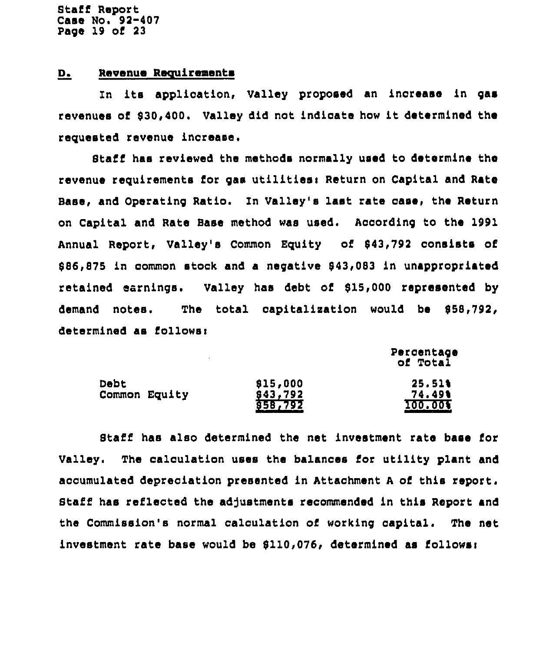Btaff Report Casa No. 92-407 Page 19 of 23

### D. Revenue Requirements

In ite application, Valley proposed an increase in gae revenues of 830,400. Valley did not indicate how it determined the requested revenue increase,

Staff has reviewed the methods normally used to determine tha revenue requirements for gas utilities: Return on Capital and Rate Base, and Operating Ratio. In Valley'e last rata case, the Return on Capital and Rate Base method was used. According to the 1991 Annual Report, Valley's Common Equity of 843,792 consists of 886,875 in common stock and a negative 843,083 in unappropriated retained earnings. Valley has debt of 815,000 represented by demand notes. The total capitalization would be \$58,792, determined as follows:

> percentage of Total

| <b>Debt</b>   | \$15,000                  | 25.51%  |
|---------------|---------------------------|---------|
| Common Equity |                           | 74.49%  |
|               | $\frac{643,792}{658,792}$ | 100.005 |

Staff hae also determined the net investment rate base for Valley. The calculation uses the balances foe utility plant and accumulated depreciation presented in Attachment <sup>A</sup> of this report. Staff has reflected the adjustments recommended in this Report and the Commission'e normal calculation of working capital. The net investment rate base would be 8110,076, determined as follower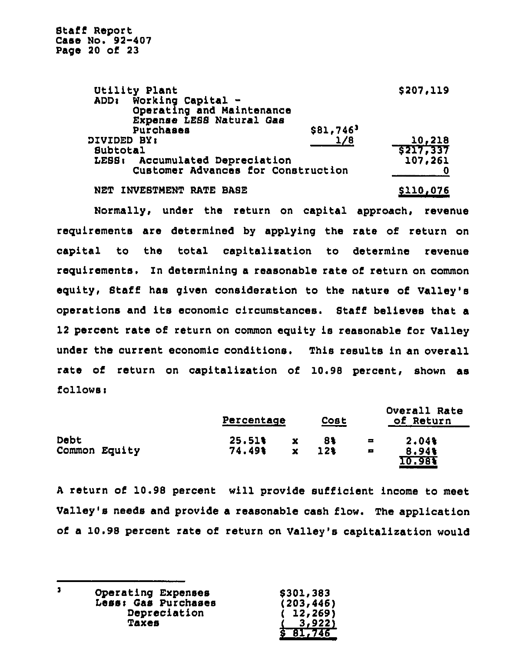Staff Report Case No. 92-407 Page 20 of 23

| \$207,119                          |
|------------------------------------|
|                                    |
|                                    |
|                                    |
| \$81,746                           |
| 1/8<br>10,218                      |
| 5217,337                           |
| 107,261                            |
| Customer Advances for Construction |
|                                    |

NET INVESTNENT RATE BASE

### \$110,076

Normally, under the return on capital approach, revenue requirements are determined by applying the rate of return on capital to the total capitalization to determine revenue requirements. In determining a reasonable rate of return on common equity, Staff has given consideration to the nature of Valley's operations and its economic circumstances. Staff believes that a 12 percent rate of return on common equity is reasonable for Valley under the current economic conditions. This results in an overall rate of return on capitalization of 10.98 percent, shown as follows <sup>i</sup>

|               | Percentage |             | Cost |                | Overall Rate<br>of Return |
|---------------|------------|-------------|------|----------------|---------------------------|
| Debt          | 25.51%     | x           | 8%   | ᆯ              | 2.04%                     |
| Common Equity | 74.49%     | $\mathbf x$ | 12%  | $\blacksquare$ | 8.94%<br>IO 981           |

<sup>A</sup> return of 10.98 percent will provide sufficient income to meet Valley's needs and provide a reasonable cash flow. The application of a 10.98 percent rate of return on Valley's capitalization would

 $\mathbf{1}$ Operating Expenses Less< Gas Purchases Depreciation Taxes

| ĺ |  | \$301,383<br>(203,446)<br>(12, 269)<br><u>3,922)</u> |  |  |  |
|---|--|------------------------------------------------------|--|--|--|
| S |  | 81,746                                               |  |  |  |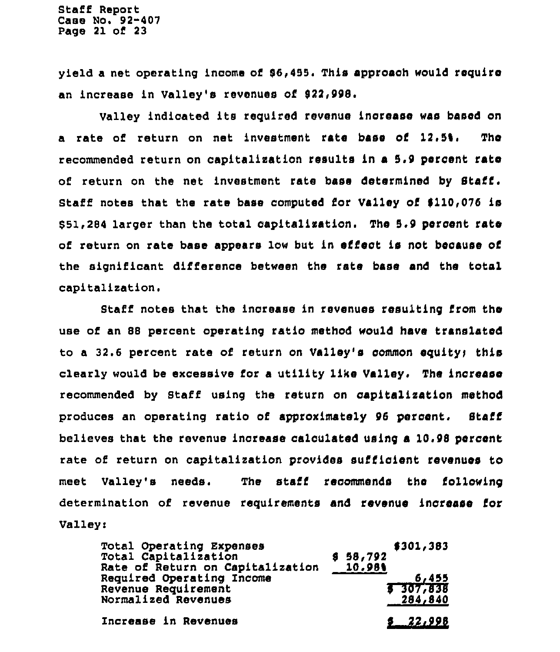Staff Report Case No. 92-407 Page 21 of 23

yield a net operating income of  $$6,455$ . This approach would require an increase in Valley's revenues of 922,998.

Valley indicated its required revenue increase was based on <sup>a</sup> rate of return on net investment rate base of 12.5\$. The recommended return on capitalization results in a 5,9 percent rate of return on the net investment rate base determined by Staff. Staff notes that the rate base computed for Valley of \$110,076 is 851,284 larger than the total capitalization. The 5.9 percent rate of return on rate base appears low but in effect is not because of the significant difference between the rate base and Che total capitalization.

Staff notes that the inorease in xevenues resulting from the use of an 88 percent operating ratio method would have translated to a 32.6 percent rate of return on Valley's common equity; this cleaxly would be excessive for a utility like Valley. The increase recommended by Staff using the return on capitalization method produces an operating ratio of approximately 96 percent. Staff believes that the revenue increase calculated using a 10.98 percent rate of return on capitalization provides sufficient revenues to meet Valley's needs. The staff recommends Che following determination of revenue requirements and revenue increase for Valley:

| Total Operating Expenses<br>Total Capitalization<br>Rate of Return on Capitalization | \$58,792<br>10.98% | \$301,383        |
|--------------------------------------------------------------------------------------|--------------------|------------------|
| Required Operating Income<br>Revenue Requirement                                     |                    | 6,455<br>307,838 |
| Normalized Revenues                                                                  |                    | 284,840          |
| Increase in Revenues                                                                 |                    | $9 - 22,998$     |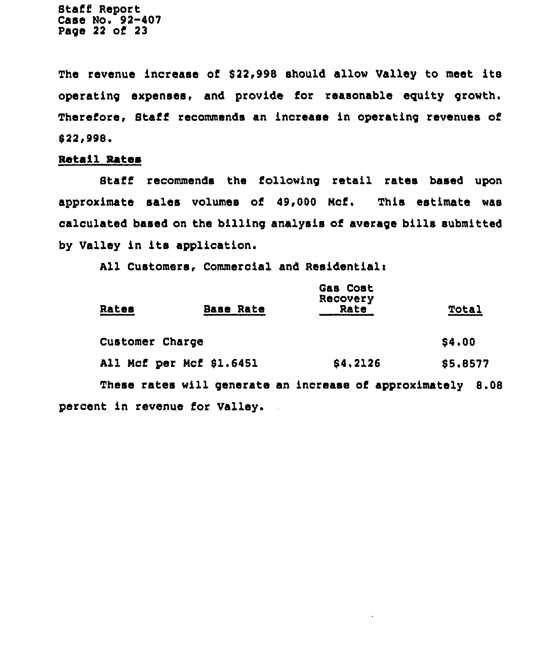Staff Report Case No. 92-407 Page 22 of 23

The revenue increase of 822,998 should allow Valley to meet its operating expanses, and provide for reasonable eguity growth. Therefore, Staff recommends an increase in operating revenues of 822i998o

### Retail Rates

Staff recommends the following retail rates based upon approximate sales volumes of 49,000 Kcf. This estimate was calculated based on the billing analysis of average bills submitted by Valley in its application.

All Customers, Commercial and Residential:

| Rates                          | <b>Base Rate</b>                                            | Gas Cost<br>Recovery<br>Rate | Total    |
|--------------------------------|-------------------------------------------------------------|------------------------------|----------|
| Customer Charge                |                                                             |                              | \$4,00   |
|                                | All Mcf per Mcf \$1.6451                                    | \$4,2126                     | \$5.8577 |
|                                | These rates will generate an increase of approximately 8.08 |                              |          |
| percent in revenue for Valley. |                                                             |                              |          |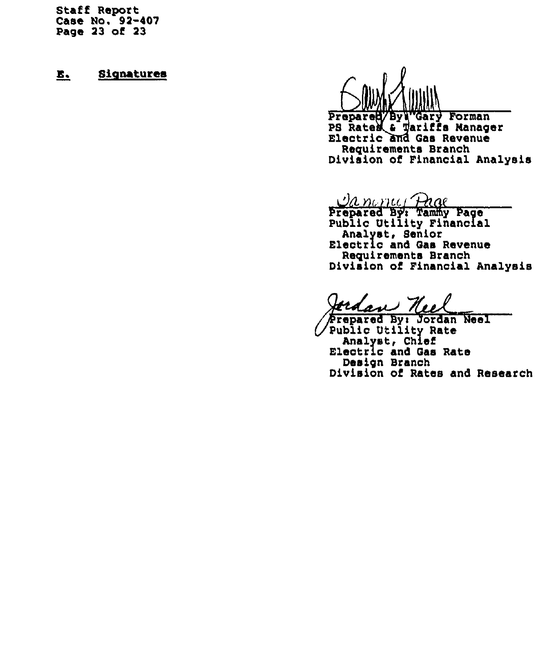Staff Report Case No. 92-407 Page 23 of 23

# E. Signatures



Prepared/By\"Gary Forman PS Rates & Tariffs Manage<br>Electric and Gas Revenue Electric and Gas Revenue<br>Requirements Branch Division of Financial Analysis

<u>Ia nama Pag</u>

Prepared By't Tammy Page Public Utility Financial<br>Analyst, Senior Electric and Gas Revenue Reguirements Branch Division of Financial Analysis

Jerdan Neel

Public Utility Rate<br>Analyst, Chief Electric and Gas Rate Design Branch Division of Rates and Research